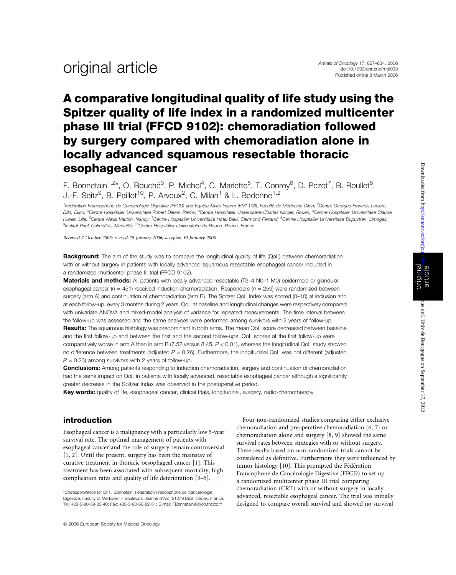## A comparative longitudinal quality of life study using the Spitzer quality of life index in a randomized multicenter phase III trial (FFCD 9102): chemoradiation followed by surgery compared with chemoradiation alone in locally advanced squamous resectable thoracic esophageal cancer

F. Bonnetain<sup>1,2\*</sup>, O. Bouché<sup>3</sup>, P. Michel<sup>4</sup>, C. Mariette<sup>5</sup>, T. Conroy<sup>6</sup>, D. Pezet<sup>7</sup>, B. Roullet<sup>8</sup>, J.-F. Seitz<sup>9</sup>, B. Paillot<sup>10</sup>, P. Arveux<sup>2</sup>, C. Milan<sup>1</sup> & L. Bedenne<sup>1,2</sup>

<sup>1</sup> Fédération Francophone de Cancérologie Digestive (FFCD) and Equipe Mixte Inserm (EMI 106), Faculté de Médecine Dijon; <sup>2</sup>Centre Georges Francois Leclerc, DIM, Dijon; <sup>3</sup>Centre Hospitalier Universitaire Robert Debré, Reims; <sup>4</sup>Centre Hospitalier Universitaire Charles Nicolle, Rouen; <sup>5</sup>Centre Hospitalier Universitaire Claude Huriez, Lille; <sup>6</sup>Centre Alexis Vautrin, Nancy; <sup>7</sup>Centre Hospitalier Universitaire Hôtel Dieu, Clermond Ferrand; <sup>8</sup>Centre Hospitalier Universitaire Dupuytren, Limoges; <sup>9</sup>Institut Paoli-Calmettes, Marseille; <sup>10</sup>Centre Hospitalier Universitaire du Rouen, Rouen, France

Received 7 October 2005; revised 25 January 2006; accepted 30 January 2006

**Background:** The aim of the study was to compare the longitudinal quality of life (QoL) between chemoradiation with or without surgery in patients with locally advanced squamous resectable esophageal cancer included in a randomized multicenter phase III trial (FFCD 9102).

Materials and methods: All patients with locally advanced resectable (T3-4 N0-1 M0) epidermoid or glandular esophageal cancer ( $n = 451$ ) received induction chemoradiation. Responders ( $n = 259$ ) were randomized between surgery (arm A) and continuation of chemoradiation (arm B). The Spitzer QoL Index was scored (0–10) at inclusion and at each follow-up, every 3 months during 2 years. QoL at baseline and longitudinal changes were respectively compared with univariate ANOVA and mixed-model analysis of variance for repeated measurements. The time interval between the follow-up was assessed and the same analyses were performed among survivors with 2 years of follow-up.

Results: The squamous histology was predominant in both arms. The mean QoL score decreased between baseline and the first follow-up and between the first and the second follow-ups. QoL scores at the first follow-up were comparatively worse in arm A than in arm B (7.52 versus 8.45,  $P < 0.01$ ), whereas the longitudinal QoL study showed no difference between treatments (adjusted  $P = 0.26$ ). Furthermore, the longitudinal QoL was not different (adjusted  $P = 0.23$ ) among survivors with 2 years of follow-up.

**Conclusions:** Among patients responding to induction chemoradiation, surgery and continuation of chemoradiation had the same impact on QoL in patients with locally advanced, resectable esophageal cancer although a significantly greater decrease in the Spitzer Index was observed in the postoperative period.

Key words: quality of life, esophageal cancer, clinical trials, longitudinal, surgery, radio-chemotherapy

### introduction

Esophageal cancer is a malignancy with a particularly low 5-year survival rate. The optimal management of patients with esophageal cancer and the role of surgery remain controversial [1, 2]. Until the present, surgery has been the mainstay of curative treatment in thoracic oesophageal cancer [1]. This treatment has been associated with subsequent mortality, high complication rates and quality of life deterioration [3–5].

Four non-randomized studies comparing either exclusive chemoradiation and preoperative chemoradiation [6, 7] or chemoradiation alone and surgery [8, 9] showed the same survival rates between strategies with or without surgery. These results based on non-randomized trials cannot be considered as definitive. Furthermore they were influenced by tumor histology [10]. This prompted the Fédération Francophone de Cancérologie Digestive (FFCD) to set up a randomized multicenter phase III trial comparing chemoradiation (CRT) with or without surgery in locally advanced, resectable esophageal cancer. The trial was initially designed to compare overall survival and showed no survival

<sup>\*</sup>Correspondence to: Dr F. Bonnetain, Féderation Francophone de Cancérologie Digestive, Faculty of Medicine, 7 Boulevard Jeanne d'Arc, 21079 Dijon Cedex, France. Tel: +33-3-80-39-33-40; Fax: +33-3-80-66-82-51; E-mail: FBonnetain@dijon.fnclcc.fr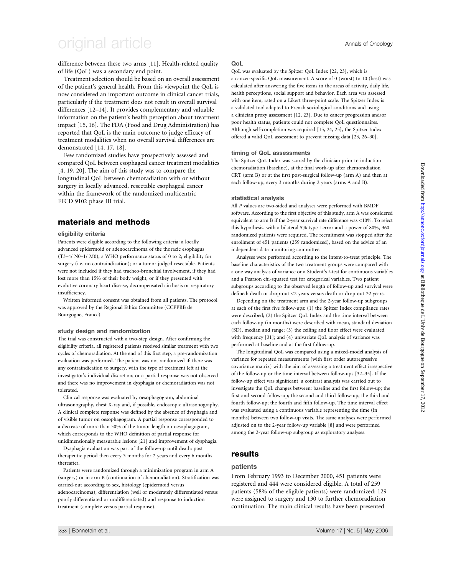# original article Annals of Oncology

difference between these two arms [11]. Health-related quality of life (QoL) was a secondary end point.

Treatment selection should be based on an overall assessment of the patient's general health. From this viewpoint the QoL is now considered an important outcome in clinical cancer trials, particularly if the treatment does not result in overall survival differences [12–14]. It provides complementary and valuable information on the patient's health perception about treatment impact [15, 16]. The FDA (Food and Drug Administration) has reported that QoL is the main outcome to judge efficacy of treatment modalities when no overall survival differences are demonstrated [14, 17, 18].

Few randomized studies have prospectively assessed and compared QoL between esophageal cancer treatment modalities [4, 19, 20]. The aim of this study was to compare the longitudinal QoL between chemoradiation with or without surgery in locally advanced, resectable esophageal cancer within the framework of the randomized multicentric FFCD 9102 phase III trial.

### materials and methods

#### eligibility criteria

Patients were eligible according to the following criteria: a locally advanced epidermoid or adenocarcinoma of the thoracic esophagus (T3–4/ N0–1/ M0); a WHO performance status of 0 to 2; eligibility for surgery (i.e. no contraindication); or a tumor judged resectable. Patients were not included if they had tracheo-bronchial involvement, if they had lost more than 15% of their body weight, or if they presented with evolutive coronary heart disease, decompensated cirrhosis or respiratory insufficiency.

Written informed consent was obtained from all patients. The protocol was approved by the Regional Ethics Committee (CCPPRB de Bourgogne, France).

#### study design and randomization

The trial was constructed with a two-step design. After confirming the eligibility criteria, all registered patients received similar treatment with two cycles of chemoradiation. At the end of this first step, a pre-randomization evaluation was performed. The patient was not randomized if: there was any contraindication to surgery, with the type of treatment left at the investigator's individual discretion; or a partial response was not observed and there was no improvement in dysphagia or chemoradiation was not tolerated.

Clinical response was evaluated by oesophagogram, abdominal ultrasonography, chest X-ray and, if possible, endoscopic ultrasonography. A clinical complete response was defined by the absence of dysphagia and of visible tumor on oesophagogram. A partial response corresponded to a decrease of more than 30% of the tumor length on oesophagogram, which corresponds to the WHO definition of partial response for unidimensionally measurable lesions [21] and improvement of dysphagia.

Dysphagia evaluation was part of the follow-up until death: post therapeutic period then every 3 months for 2 years and every 6 months thereafter.

Patients were randomized through a minimization program in arm A (surgery) or in arm B (continuation of chemoradiation). Stratification was carried-out according to sex, histology (epidermoid versus adenocarcinoma), differentiation (well or moderately differentiated versus poorly differentiated or undifferentiated) and response to induction treatment (complete versus partial response).

#### **QoL**

QoL was evaluated by the Spitzer QoL Index [22, 23], which is a cancer-specific QoL measurement. A score of 0 (worst) to 10 (best) was calculated after answering the five items in the areas of activity, daily life, health perceptions, social support and behavior. Each area was assessed with one item, rated on a Likert three-point scale. The Spitzer Index is a validated tool adapted to French sociological conditions and using a clinician proxy assessment [12, 23]. Due to cancer progression and/or poor health status, patients could not complete QoL questionnaires. Although self-completion was required [15, 24, 25], the Spitzer Index offered a valid QoL assessment to prevent missing data [23, 26–30].

#### timing of QoL assessments

The Spitzer QoL Index was scored by the clinician prior to induction chemoradiation (baseline), at the final work-up after chemoradiation CRT (arm B) or at the first post-surgical follow-up (arm A) and then at each follow-up, every 3 months during 2 years (arms A and B).

#### statistical analysis

All P values are two-sided and analyses were performed with BMDP software. According to the first objective of this study, arm A was considered equivalent to arm B if the 2-year survival rate difference was <10%. To reject this hypothesis, with a bilateral 5% type I error and a power of 80%, 360 randomized patients were required. The recruitment was stopped after the enrollment of 451 patients (259 randomized), based on the advice of an independent data monitoring committee.

Analyses were performed according to the intent-to-treat principle. The baseline characteristics of the two treatment groups were compared with a one way analysis of variance or a Student's t-test for continuous variables and a Pearson chi-squared test for categorical variables. Two patient subgroups according to the observed length of follow-up and survival were defined: death or drop-out  $\langle 2 \rangle$  years versus death or drop out  $\geq 2$  years.

Depending on the treatment arm and the 2-year follow-up subgroups at each of the first five follow-ups: (1) the Spitzer Index compliance rates were described; (2) the Spitzer QoL Index and the time interval between each follow-up (in months) were described with mean, standard deviation (SD), median and range; (3) the ceiling and floor effect were evaluated with frequency [31]; and (4) univariate QoL analysis of variance was performed at baseline and at the first follow-up.

The longitudinal QoL was compared using a mixed-model analysis of variance for repeated measurements (with first order autoregressive covariance matrix) with the aim of assessing a treatment effect irrespective of the follow-up or the time interval between follow-ups [32–35]. If the follow-up effect was significant, a contrast analysis was carried out to investigate the QoL changes between: baseline and the first follow-up; the first and second follow-up; the second and third follow-up; the third and fourth follow-up; the fourth and fifth follow-up. The time interval effect was evaluated using a continuous variable representing the time (in months) between two follow-up visits. The same analyses were performed adjusted on to the 2-year follow-up variable [8] and were performed among the 2-year follow-up subgroup as exploratory analyses.

#### results

#### patients

From February 1993 to December 2000, 451 patients were registered and 444 were considered eligible. A total of 259 patients (58% of the eligible patients) were randomized: 129 were assigned to surgery and 130 to further chemoradiation continuation. The main clinical results have been presented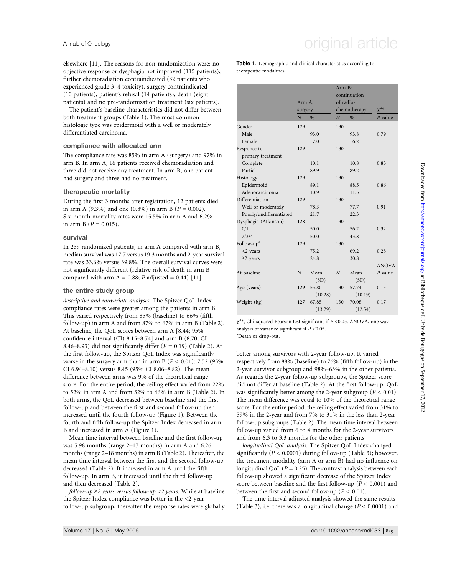elsewhere [11]. The reasons for non-randomization were: no objective response or dysphagia not improved (115 patients), further chemoradiation contraindicated (32 patients who experienced grade 3–4 toxicity), surgery contraindicated (10 patients), patient's refusal (14 patients), death (eight patients) and no pre-randomization treatment (six patients).

The patient's baseline characteristics did not differ between both treatment groups (Table 1). The most common histologic type was epidermoid with a well or moderately differentiated carcinoma.

#### compliance with allocated arm

The compliance rate was 85% in arm A (surgery) and 97% in arm B. In arm A, 16 patients received chemoradiation and three did not receive any treatment. In arm B, one patient had surgery and three had no treatment.

#### therapeutic mortality

During the first 3 months after registration, 12 patients died in arm A (9.3%) and one (0.8%) in arm B ( $P = 0.002$ ). Six-month mortality rates were 15.5% in arm A and 6.2% in arm B ( $P = 0.015$ ).

#### survival

In 259 randomized patients, in arm A compared with arm B, median survival was 17.7 versus 19.3 months and 2-year survival rate was 33.6% versus 39.8%. The overall survival curves were not significantly different (relative risk of death in arm B compared with arm  $A = 0.88$ ; *P* adjusted = 0.44) [11].

#### the entire study group

descriptive and univariate analyses. The Spitzer QoL Index compliance rates were greater among the patients in arm B. This varied respectively from 85% (baseline) to 66% (fifth follow-up) in arm A and from 87% to 67% in arm B (Table 2). At baseline, the QoL scores between arm A [8.44; 95% confidence interval (CI) 8.15–8.74] and arm B (8.70; CI 8.46–8.93) did not significantly differ  $(P = 0.19)$  (Table 2). At the first follow-up, the Spitzer QoL Index was significantly worse in the surgery arm than in arm B ( $P < 0.01$ ): 7.52 (95%) CI 6.94–8.10) versus 8.45 (95% CI 8.06–8.82). The mean difference between arms was 9% of the theoretical range score. For the entire period, the ceiling effect varied from 22% to 52% in arm A and from 32% to 46% in arm B (Table 2). In both arms, the QoL decreased between baseline and the first follow-up and between the first and second follow-up then increased until the fourth follow-up (Figure 1). Between the fourth and fifth follow-up the Spitzer Index decreased in arm B and increased in arm A (Figure 1).

Mean time interval between baseline and the first follow-up was 5.98 months (range 2–17 months) in arm A and 6.26 months (range 2–18 months) in arm B (Table 2). Thereafter, the mean time interval between the first and the second follow-up decreased (Table 2). It increased in arm A until the fifth follow-up. In arm B, it increased until the third follow-up and then decreased (Table 2).

follow-up  $\geq$ 2 years versus follow-up <2 years. While at baseline the Spitzer Index compliance was better in the <2-year follow-up subgroup; thereafter the response rates were globally

#### Table 1. Demographic and clinical characteristics according to therapeutic modalities

|                         | Arm A:<br>surgery |         | Arm B:<br>of radio- | continuation<br>chemotherapy |              |  |
|-------------------------|-------------------|---------|---------------------|------------------------------|--------------|--|
|                         | $\overline{N}$    | $\%$    | $\overline{N}$      | $\frac{0}{6}$                | P value      |  |
| Gender                  | 129               |         | 130                 |                              |              |  |
| Male                    |                   | 93.0    |                     | 93.8                         | 0.79         |  |
| Female                  |                   | 7.0     |                     | 6.2                          |              |  |
| Response to             | 129               |         | 130                 |                              |              |  |
| primary treatment       |                   |         |                     |                              |              |  |
| Complete                |                   | 10.1    |                     | 10.8                         | 0.85         |  |
| Partial                 |                   | 89.9    |                     | 89.2                         |              |  |
| Histology               | 129               |         | 130                 |                              |              |  |
| Epidermoid              |                   | 89.1    |                     | 88.5                         | 0.86         |  |
| Adenocarcinoma          |                   | 10.9    |                     | 11.5                         |              |  |
| Differentiation         | 129               |         | 130                 |                              |              |  |
| Well or moderately      |                   | 78.3    |                     | 77.7                         | 0.91         |  |
| Poorly/undifferentiated |                   | 21.7    |                     | 22.3                         |              |  |
| Dysphagia (Atkinson)    | 128               |         | 130                 |                              |              |  |
| 0/1                     |                   | 50.0    |                     | 56.2                         | 0.32         |  |
| 2/3/4                   |                   | 50.0    |                     | 43.8                         |              |  |
| Follow-up <sup>a</sup>  | 129               |         | 130                 |                              |              |  |
| $<$ 2 years             |                   | 75.2    |                     | 69.2                         | 0.28         |  |
| $\geq$ 2 years          |                   | 24.8    |                     | 30.8                         |              |  |
|                         |                   |         |                     |                              | <b>ANOVA</b> |  |
| At baseline             | N                 | Mean    | $\overline{N}$      | Mean                         | $P$ value    |  |
|                         |                   | (SD)    |                     | (SD)                         |              |  |
| Age (years)             | 129               | 55.80   | 130                 | 57.74                        | 0.13         |  |
|                         |                   | (10.28) |                     | (10.19)                      |              |  |
| Weight (kg)             | 127               | 67.85   | 130                 | 70.08                        | 0.17         |  |
|                         |                   | (13.29) |                     | (12.54)                      |              |  |

 $\chi^{2*}$ , Chi-squared Pearson test significant if  $P < 0.05$ . ANOVA, one way analysis of variance significant if  $P < 0.05$ .

<sup>a</sup>Death or drop-out.

better among survivors with 2-year follow-up. It varied respectively from 88% (baseline) to 76% (fifth follow-up) in the 2-year survivor subgroup and 98%–63% in the other patients. As regards the 2-year follow-up subgroups, the Spitzer score did not differ at baseline (Table 2). At the first follow-up, QoL was significantly better among the 2-year subgroup ( $P < 0.01$ ). The mean difference was equal to 10% of the theoretical range score. For the entire period, the ceiling effect varied from 31% to 59% in the 2-year and from 7% to 31% in the less than 2-year follow-up subgroups (Table 2). The mean time interval between follow-up varied from 6 to 4 months for the 2-year survivors and from 6.3 to 3.3 months for the other patients.

longitudinal QoL analysis. The Spitzer QoL Index changed significantly ( $P < 0.0001$ ) during follow-up (Table 3); however, the treatment modality (arm A or arm B) had no influence on longitudinal QoL ( $P = 0.25$ ). The contrast analysis between each follow-up showed a significant decrease of the Spitzer Index score between baseline and the first follow-up ( $P < 0.001$ ) and between the first and second follow-up ( $P < 0.01$ ).

The time interval adjusted analysis showed the same results (Table 3), i.e. there was a longitudinal change ( $P < 0.0001$ ) and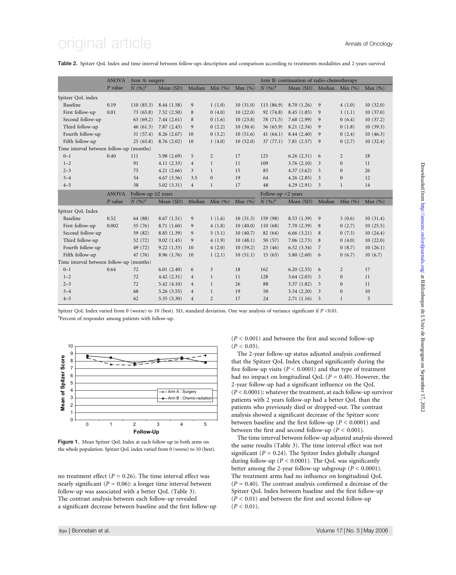# original article Annals of Oncology

Table 2. Spitzer QoL Index and time interval between follow-ups description and comparison according to treatments modalities and 2-years survival

|                                          | <b>ANOVA</b> | Arm A: surgery           |             |                |              | Arm B: continuation of radio-chemotherapy |                    |             |        |              |             |  |
|------------------------------------------|--------------|--------------------------|-------------|----------------|--------------|-------------------------------------------|--------------------|-------------|--------|--------------|-------------|--|
|                                          | $P$ value    | $N (%)^a$                | Mean (SD)   | Median         | Min $(\% )$  | Max $(%)$                                 | $N (%)^a$          | Mean $(SD)$ | Median | Min $(\% )$  | Max $(\% )$ |  |
| Spitzer QoL index                        |              |                          |             |                |              |                                           |                    |             |        |              |             |  |
| Baseline                                 | 0.19         | 110(85.3)                | 8.44 (1.58) | 9              | 1(1.0)       | 10(31.0)                                  | 113 (86.9)         | 8.70(1.26)  | 9      | 4(1.0)       | 10(32.0)    |  |
| First follow-up                          | 0.01         | 73 (65.8)                | 7.52(2.50)  | 8              | 0(4.0)       | 10(22.0)                                  | 92 (74.8)          | 8.45(1.85)  | 9      | 1(1.1)       | 10(37.0)    |  |
| Second follow-up                         |              | 63(69.2)                 | 7.44(2.61)  | 8              | 0(1.6)       | 10(23.8)                                  | 78 (71.5)          | 7.68(2.99)  | 9      | 0(6.4)       | 10(37.2)    |  |
| Third follow-up                          |              | 46(61.3)                 | 7.87(2.43)  | 9              | 0(2.2)       | 10(30.4)                                  | 56 (65.9)          | 8.21 (2.34) | 9      | 0(1.8)       | 10(39.3)    |  |
| Fourth follow-up                         |              | 31 (57.4)                | 8.26(2.67)  | 10             | 0(3.2)       | 10(51.6)                                  | 41(64.1)           | 8.44 (2.40) | 9      | 0(2.4)       | 10(46.3)    |  |
| Fifth follow-up                          |              | 25(65.8)                 | 8.76(2.02)  | 10             | 1(4.0)       | 10(52.0)                                  | 37(77.1)           | 7.81(2.57)  | 9      | 0(2.7)       | 10(32.4)    |  |
| Time interval between follow-up (months) |              |                          |             |                |              |                                           |                    |             |        |              |             |  |
| $0 - 1$                                  | 0.40         | 111                      | 5.98(2.69)  | 5              | 2            | 17                                        | 123                | 6.26(2.31)  | 6      | 2            | 18          |  |
| $1 - 2$                                  |              | 91                       | 4.11(2.33)  | $\overline{4}$ | $\mathbf{1}$ | 11                                        | 109                | 3.76(2.10)  | 3      | $\mathbf{0}$ | 11          |  |
| $2 - 3$                                  |              | 75                       | 4.21(2.66)  | 3              | $\mathbf{1}$ | 15                                        | 85                 | 4.37(3.62)  | 3      | $\Omega$     | 26          |  |
| $3 - 4$                                  |              | 54                       | 4.67(3.56)  | 3.5            | $\Omega$     | 19                                        | 64                 | 4.26(2.85)  | 3      | $\mathbf{0}$ | 12          |  |
| $4 - 5$                                  |              | 38                       | 5.02(3.31)  | $\overline{4}$ | 1            | 17                                        | 48                 | 4.29(2.91)  | 3      | 1            | 14          |  |
|                                          | <b>ANOVA</b> | Follow-up $\geq$ 2 years |             |                |              |                                           | Follow-up <2 years |             |        |              |             |  |
|                                          | $P$ value    | $N (%)^a$                | Mean (SD)   | Median         | Min $(\% )$  | Max $(\% )$                               | $N (%)^a$          | Mean (SD)   | Median | Min $(\% )$  | Max $(\% )$ |  |
| Spitzer QoL Index                        |              |                          |             |                |              |                                           |                    |             |        |              |             |  |
|                                          |              |                          |             |                |              |                                           |                    |             |        |              |             |  |
| Baseline                                 | 0.52         | 64 (88)                  | 8.67(1.51)  | 9              | 1(1.6)       | 10(31.3)                                  | 159 (98)           | 8.53(1.39)  | 9      | 3(0.6)       | 10(31.4)    |  |
| First follow-up                          | 0.002        | 55 (76)                  | 8.71 (1.60) | 9              | 4(1.8)       | 10(40.0)                                  | 110(68)            | 7.70(2.39)  | 8      | 0(2.7)       | 10(25.5)    |  |
| Second follow-up                         |              | 59 (82)                  | 8.85(1.39)  | 9              | 5(5.1)       | 10(40.7)                                  | 82 (64)            | 6.66(3.21)  | 8      | 0(7.3)       | 10(24.4)    |  |
| Third follow-up                          |              | 52 (72)                  | 9.02(1.45)  | 9              | 4(1.9)       | 10(48.1)                                  | 50 (57)            | 7.06(2.73)  | 8      | 0(4.0)       | 10(22.0)    |  |
| Fourth follow-up                         |              | 49 (72)                  | 9.22(1.33)  | 10             | 4(2.0)       | 10(59.2)                                  | 23(46)             | 6.52(3.34)  | 7      | 0(8.7)       | 10(26.1)    |  |
| Fifth follow-up                          |              | 47 (76)                  | 8.96 (1.76) | 10             | 1(2.1)       | 10(51.1)                                  | 15(63)             | 5.80(2.60)  | 6      | 0(6.7)       | 10(6.7)     |  |
| Time interval between follow-up (months) |              |                          |             |                |              |                                           |                    |             |        |              |             |  |
| $0 - 1$                                  | 0.64         | 72                       | 6.01(2.40)  | 6              | 3            | 18                                        | 162                | 6.20(2.55)  | 6      | 2            | 17          |  |
| $1 - 2$                                  |              | 72                       | 4.42(2.31)  | $\overline{4}$ | $\mathbf{1}$ | 11                                        | 128                | 3.64(2.03)  | 3      | $\mathbf{0}$ | 11          |  |
| $2 - 3$                                  |              | 72                       | 5.42(4.10)  | $\overline{4}$ | $\mathbf{1}$ | 26                                        | 88                 | 3.37(1.82)  | 3      | $\mathbf{0}$ | 11          |  |
| $3 - 4$                                  |              | 68                       | 5.26(3.55)  | $\overline{4}$ | $\mathbf{1}$ | 19                                        | 50                 | 3.34(2.20)  | 3      | $\mathbf{0}$ | 10          |  |

Spitzer QoL Index varied from 0 (worse) to 10 (best). SD, standard deviation. One way analysis of variance significant if  $P < 0.01$ . a Percent of responder among patients with follow-up.



Figure 1. Mean Spitzer QoL Index at each follow-up in both arms on the whole population. Spitzer QoL index varied from 0 (worse) to 10 (best).

no treatment effect ( $P = 0.26$ ). The time interval effect was nearly significant ( $P = 0.06$ ): a longer time interval between follow-up was associated with a better QoL (Table 3). The contrast analysis between each follow-up revealed a significant decrease between baseline and the first follow-up  $(P < 0.001)$  and between the first and second follow-up  $(P < 0.05)$ .

The 2-year follow-up status adjusted analysis confirmed that the Spitzer QoL Index changed significantly during the five follow-up visits ( $P < 0.0001$ ) and that type of treatment had no impact on longitudinal QoL ( $P = 0.40$ ). However, the 2-year follow-up had a significant influence on the QoL  $(P < 0.0001)$ : whatever the treatment, at each follow-up survivor patients with 2 years follow-up had a better QoL than the patients who previously died or dropped-out. The contrast analysis showed a significant decrease of the Spitzer score between baseline and the first follow-up ( $P < 0.0001$ ) and between the first and second follow-up ( $P < 0.001$ ).

The time interval between follow-up adjusted analysis showed the same results (Table 3). The time interval effect was not significant ( $P = 0.24$ ). The Spitzer Index globally changed during follow-up ( $P < 0.0001$ ). The QoL was significantly better among the 2-year follow-up subgroup ( $P < 0.0001$ ). The treatment arms had no influence on longitudinal QoL  $(P = 0.40)$ . The contrast analysis confirmed a decrease of the Spitzer QoL Index between baseline and the first follow-up  $(P < 0.01)$  and between the first and second follow-up  $(P < 0.01)$ .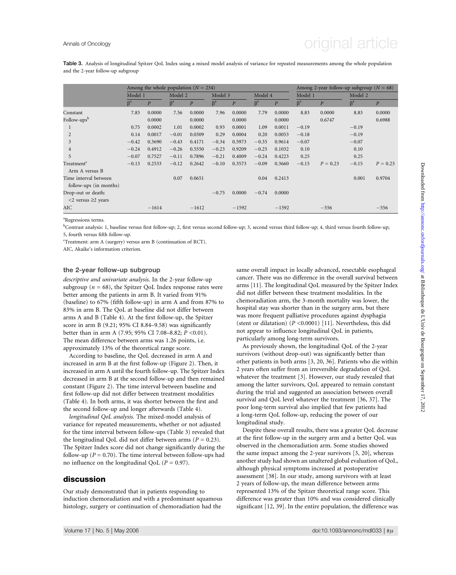# Annals of Oncology **Annals of Oncology** original article

Table 3. Analysis of longitudinal Spitzer QoL Index using a mixed model analysis of variance for repeated measurements among the whole population and the 2-year follow-up subgroup

|                                           | Among the whole population $(N = 234)$ |                |           |                |           |                |           |                | Among 2-year follow-up subgroup ( $N = 68$ ) |                |           |                  |  |
|-------------------------------------------|----------------------------------------|----------------|-----------|----------------|-----------|----------------|-----------|----------------|----------------------------------------------|----------------|-----------|------------------|--|
|                                           | Model 1                                |                | Model 2   |                | Model 3   |                | Model 4   |                | Model 1                                      |                | Model 2   |                  |  |
|                                           | $\beta^a$                              | $\overline{P}$ | $\beta^a$ | $\overline{P}$ | $\beta^a$ | $\overline{P}$ | $\beta^a$ | $\overline{P}$ | $\beta^a$                                    | $\overline{P}$ | $\beta^a$ | $\boldsymbol{P}$ |  |
| Constant                                  | 7.83                                   | 0.0000         | 7.56      | 0.0000         | 7.96      | 0.0000         | 7.79      | 0.0000         | 8.83                                         | 0.0000         | 8.83      | 0.0000           |  |
| Follow-ups <sup>b</sup>                   |                                        | 0.0000         |           | 0.0000         |           | 0.0000         |           | 0.0000         |                                              | 0.6747         |           | 0.6988           |  |
|                                           | 0.75                                   | 0.0002         | 1.01      | 0.0002         | 0.93      | 0.0001         | 1.09      | 0.0011         | $-0.19$                                      |                | $-0.19$   |                  |  |
| $\overline{2}$                            | 0.14                                   | 0.0017         | $-0.01$   | 0.0309         | 0.29      | 0.0004         | 0.20      | 0.0053         | $-0.18$                                      |                | $-0.19$   |                  |  |
| 3                                         | $-0.42$                                | 0.3690         | $-0.43$   | 0.4171         | $-0.34$   | 0.5973         | $-0.35$   | 0.9614         | $-0.07$                                      |                | $-0.07$   |                  |  |
| $\overline{4}$                            | $-0.24$                                | 0.4912         | $-0.26$   | 0.5550         | $-0.23$   | 0.9209         | $-0.25$   | 0.1032         | 0.10                                         |                | 0.10      |                  |  |
| 5                                         | $-0.07$                                | 0.7527         | $-0.11$   | 0.7896         | $-0.21$   | 0.4009         | $-0.24$   | 0.4223         | 0.25                                         |                | 0.25      |                  |  |
| Treatment <sup>c</sup>                    | $-0.13$                                | 0.2533         | $-0.12$   | 0.2642         | $-0.10$   | 0.3573         | $-0.09$   | 0.3660         | $-0.15$                                      | $P = 0.23$     | $-0.15$   | $P = 0.23$       |  |
| Arm A versus B                            |                                        |                |           |                |           |                |           |                |                                              |                |           |                  |  |
| Time interval between                     |                                        |                | 0.07      | 0.0651         |           |                | 0.04      | 0.2413         |                                              |                | 0.001     | 0.9704           |  |
| follow-ups (in months)                    |                                        |                |           |                |           |                |           |                |                                              |                |           |                  |  |
| Drop-out or death:                        |                                        |                |           |                | $-0.75$   | 0.0000         | $-0.74$   | 0.0000         |                                              |                |           |                  |  |
| $\langle 2 \rangle$ versus $\geq 2$ years |                                        |                |           |                |           |                |           |                |                                              |                |           |                  |  |
| AIC                                       |                                        | $-1614$        |           | $-1612$        |           | $-1592$        |           | $-1592$        |                                              | $-556$         |           | $-556$           |  |

<sup>a</sup>Regressions terms.

b Contrast analysis: 1, baseline versus first follow-up; 2, first versus second follow-up; 3, second versus third follow-up; 4, third versus fourth follow-up; 5, fourth versus fifth follow-up.

c Treatment: arm A (surgery) versus arm B (continuation of RCT).

AIC, Akaike's information criterion.

#### the 2-year follow-up subgroup

descriptive and univariate analysis. In the 2-year follow-up subgroup ( $n = 68$ ), the Spitzer QoL Index response rates were better among the patients in arm B. It varied from 91% (baseline) to 67% (fifth follow-up) in arm A and from 87% to 83% in arm B. The QoL at baseline did not differ between arms A and B (Table 4). At the first follow-up, the Spitzer score in arm B (9.21; 95% CI 8.84–9.58) was significantly better than in arm A (7.95; 95% CI 7.08–8.82;  $P < 0.01$ ). The mean difference between arms was 1.26 points, i.e. approximately 13% of the theoretical range score.

According to baseline, the QoL decreased in arm A and increased in arm B at the first follow-up (Figure 2). Then, it increased in arm A until the fourth follow-up. The Spitzer Index decreased in arm B at the second follow-up and then remained constant (Figure 2). The time interval between baseline and first follow-up did not differ between treatment modalities (Table 4). In both arms, it was shorter between the first and the second follow-up and longer afterwards (Table 4).

longitudinal QoL analysis. The mixed-model analysis of variance for repeated measurements, whether or not adjusted for the time interval between follow-ups (Table 3) revealed that the longitudinal OoL did not differ between arms ( $P = 0.23$ ). The Spitzer Index score did not change significantly during the follow-up ( $P = 0.70$ ). The time interval between follow-ups had no influence on the longitudinal QoL ( $P = 0.97$ ).

### discussion

Our study demonstrated that in patients responding to induction chemoradiation and with a predominant squamous histology, surgery or continuation of chemoradiation had the

same overall impact in locally advanced, resectable esophageal cancer. There was no difference in the overall survival between arms [11]. The longitudinal QoL measured by the Spitzer Index did not differ between these treatment modalities. In the chemoradiation arm, the 3-month mortality was lower, the hospital stay was shorter than in the surgery arm, but there was more frequent palliative procedures against dysphagia (stent or dilatation)  $(P < 0.0001)$  [11]. Nevertheless, this did not appear to influence longitudinal QoL in patients, particularly among long-term survivors.

As previously shown, the longitudinal QoL of the 2-year survivors (without drop-out) was significantly better than other patients in both arms [3, 20, 36]. Patients who die within 2 years often suffer from an irreversible degradation of QoL whatever the treatment [3]. However, our study revealed that among the latter survivors, QoL appeared to remain constant during the trial and suggested an association between overall survival and QoL level whatever the treatment [36, 37]. The poor long-term survival also implied that few patients had a long-term QoL follow-up, reducing the power of our longitudinal study.

Despite these overall results, there was a greater QoL decrease at the first follow-up in the surgery arm and a better QoL was observed in the chemoradiation arm. Some studies showed the same impact among the 2-year survivors [3, 20], whereas another study had shown an unaltered global evaluation of QoL, although physical symptoms increased at postoperative assessment [38]. In our study, among survivors with at least 2 years of follow-up, the mean difference between arms represented 13% of the Spitzer theoretical range score. This difference was greater than 10% and was considered clinically significant [12, 39]. In the entire population, the difference was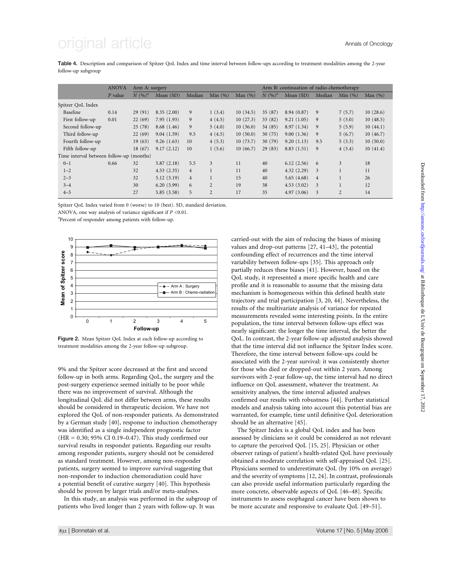Table 4. Description and comparison of Spitzer QoL Index and time interval between follow-ups according to treatment modalities among the 2-year follow-up subgroup

|                                          | <b>ANOVA</b> | Arm A: surgery |             |                |                |           | Arm B: continuation of radio-chemotherapy |             |                |                |             |  |
|------------------------------------------|--------------|----------------|-------------|----------------|----------------|-----------|-------------------------------------------|-------------|----------------|----------------|-------------|--|
|                                          | $P$ value    | $N (%)^a$      | Mean $(SD)$ | Median         | Min $(\% )$    | Max $(%)$ | $N (%)^a$                                 | Mean $(SD)$ | Median         | Min $(\% )$    | Max $(\% )$ |  |
| Spitzer OoL Index                        |              |                |             |                |                |           |                                           |             |                |                |             |  |
| Baseline                                 | 0.14         | 29(91)         | 8.35(2.00)  | 9              | 1(3.4)         | 10(34.5)  | 35 (87)                                   | 8.94(0.87)  | 9              | 7(5.7)         | 10(28.6)    |  |
| First follow-up                          | 0.01         | 22(69)         | 7.95(1.93)  | 9              | 4(4.5)         | 10(27.3)  | 33(82)                                    | 9.21(1.05)  | 9              | 5(3.0)         | 10(48.5)    |  |
| Second follow-up                         |              | 25(78)         | 8.68(1.46)  | 9              | 5(4.0)         | 10(36.0)  | 34(85)                                    | 8.97(1.34)  | 9              | 5(5.9)         | 10(44.1)    |  |
| Third follow-up                          |              | 22(69)         | 9.04(1.59)  | 9.5            | 4(4.5)         | 10(50.0)  | 30(75)                                    | 9.00(1.36)  | 9              | 5(6.7)         | 10(46.7)    |  |
| Fourth follow-up                         |              | 19(63)         | 9.26(1.63)  | 10             | 4(5.3)         | 10(73.7)  | 30(79)                                    | 9.20(1.13)  | 9.5            | 5(3.3)         | 10(50.0)    |  |
| Fifth follow-up                          |              | 18(67)         | 9.17(2.12)  | 10             | 1(5.6)         | 10(66.7)  | 29(83)                                    | 8.83(1.51)  | 9              | 4(3.4)         | 10(41.4)    |  |
| Time interval between follow-up (months) |              |                |             |                |                |           |                                           |             |                |                |             |  |
| $0 - 1$                                  | 0.66         | 32             | 5.87(2.18)  | 5.5            | 3              | 11        | 40                                        | 6.12(2.56)  | 6              | $\overline{3}$ | 18          |  |
| $1 - 2$                                  |              | 32             | 4.53(2.35)  | $\overline{4}$ | $\mathbf{I}$   | 11        | 40                                        | 4.32(2.29)  | 3              |                | 11          |  |
| $2 - 3$                                  |              | 32             | 5.12(3.19)  | $\overline{4}$ | н.             | 15        | 40                                        | 5.65(4.68)  | $\overline{4}$ |                | 26          |  |
| $3 - 4$                                  |              | 30             | 6.20(3.99)  | 6              | $\overline{2}$ | 19        | 38                                        | 4.53(3.02)  | 3              |                | 12          |  |
| $4 - 5$                                  |              | 27             | 5.85(3.58)  | 5              | $\overline{2}$ | 17        | 35                                        | 4.97(3.06)  | 3              | $\overline{2}$ | 14          |  |
|                                          |              |                |             |                |                |           |                                           |             |                |                |             |  |

Spitzer QoL Index varied from 0 (worse) to 10 (best). SD, standard deviation.

ANOVA, one way analysis of variance significant if  $P < 0.01$ .

a Percent of responder among patients with follow-up.



Figure 2. Mean Spitzer QoL Index at each follow-up according to treatment modalities among the 2-year follow-up subgroup.

9% and the Spitzer score decreased at the first and second follow-up in both arms. Regarding QoL, the surgery and the post-surgery experience seemed initially to be poor while there was no improvement of survival. Although the longitudinal QoL did not differ between arms, these results should be considered in therapeutic decision. We have not explored the QoL of non-responder patients. As demonstrated by a German study [40], response to induction chemotherapy was identified as a single independent prognostic factor (HR = 0.30; 95% CI 0.19–0.47). This study confirmed our survival results in responder patients. Regarding our results among responder patients, surgery should not be considered as standard treatment. However, among non-responder patients, surgery seemed to improve survival suggesting that non-responder to induction chemoradiation could have a potential benefit of curative surgery [40]. This hypothesis should be proven by larger trials and/or meta-analyses.

In this study, an analysis was performed in the subgroup of patients who lived longer than 2 years with follow-up. It was

carried-out with the aim of reducing the biases of missing values and drop-out patterns [27, 41–43], the potential confounding effect of recurrences and the time interval variability between follow-ups [35]. This approach only partially reduces these biases [41]. However, based on the QoL study, it represented a more specific health and care profile and it is reasonable to assume that the missing data mechanism is homogeneous within this defined health state trajectory and trial participation [3, 20, 44]. Nevertheless, the results of the multivariate analysis of variance for repeated measurements revealed some interesting points. In the entire population, the time interval between follow-ups effect was nearly significant: the longer the time interval, the better the QoL. In contrast, the 2-year follow-up adjusted analysis showed that the time interval did not influence the Spitzer Index score. Therefore, the time interval between follow-ups could be associated with the 2-year survival: it was consistently shorter for those who died or dropped-out within 2 years. Among survivors with 2-year follow-up, the time interval had no direct influence on QoL assessment, whatever the treatment. As sensitivity analyses, the time interval adjusted analyses confirmed our results with robustness [44]. Further statistical models and analysis taking into account this potential bias are warranted, for example, time until definitive QoL deterioration should be an alternative [45].

The Spitzer Index is a global QoL index and has been assessed by clinicians so it could be considered as not relevant to capture the perceived QoL [15, 25]. Physician or other observer ratings of patient's health-related QoL have previously obtained a moderate correlation with self-appraised QoL [25]. Physicians seemed to underestimate QoL (by 10% on average) and the severity of symptoms [12, 24]. In contrast, professionals can also provide useful information particularly regarding the more concrete, observable aspects of QoL [46–48]. Specific instruments to assess esophageal cancer have been shown to be more accurate and responsive to evaluate QoL [49–51].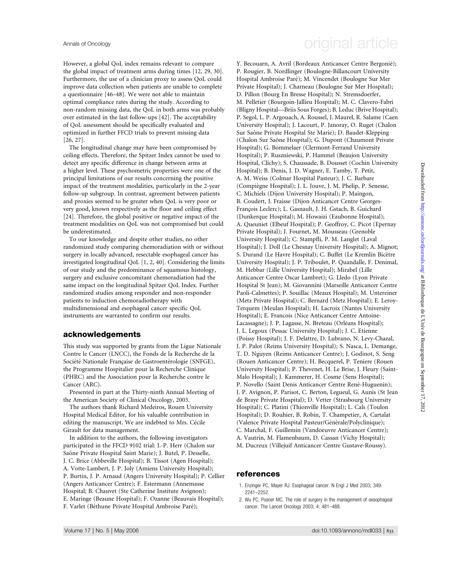However, a global QoL index remains relevant to compare the global impact of treatment arms during times [12, 29, 30]. Furthermore, the use of a clinician proxy to assess QoL could improve data collection when patients are unable to complete a questionnaire [46–48]. We were not able to maintain optimal compliance rates during the study. According to non-random missing data, the QoL in both arms was probably over estimated in the last follow-ups [42]. The acceptability of QoL assessment should be specifically evaluated and optimized in further FFCD trials to prevent missing data [26, 27].

The longitudinal change may have been compromised by ceiling effects. Therefore, the Spitzer Index cannot be used to detect any specific difference in change between arms at a higher level. These psychometric properties were one of the principal limitations of our results concerning the positive impact of the treatment modalities, particularly in the 2-year follow-up subgroup. In contrast, agreement between patients and proxies seemed to be greater when QoL is very poor or very good, known respectively as the floor and ceiling effect [24]. Therefore, the global positive or negative impact of the treatment modalities on QoL was not compromised but could be underestimated.

To our knowledge and despite other studies, no other randomized study comparing chemoradiation with or without surgery in locally advanced, resectable esophageal cancer has investigated longitudinal QoL [1, 2, 40]. Considering the limits of our study and the predominance of squamous histology, surgery and exclusive concomitant chemoradiation had the same impact on the longitudinal Spitzer QoL Index. Further randomized studies among responder and non-responder patients to induction chemoradiotherapy with multidimensional and esophageal cancer specific QoL instruments are warranted to confirm our results.

### acknowledgements

This study was supported by grants from the Ligue Nationale Contre le Cancer (LNCC), the Fonds de la Recherche de la Société Nationale Française de Gastroentérologie (SNFGE), the Programme Hospitalier pour la Recherche Clinique (PHRC) and the Association pour la Recherche contre le Cancer (ARC).

Presented in part at the Thirty-ninth Annual Meeting of the American Society of Clinical Oncology, 2003.

The authors thank Richard Medeiros, Rouen University Hospital Medical Editor, for his valuable contribution in editing the manuscript. We are indebted to Mrs. Cécile Girault for data management.

In addition to the authors, the following investigators participated in the FFCD 9102 trial: J.-P. Herr (Chalon sur Saône Private Hospital Saint Marie); J. Butel, P. Desselle, J. C. Brice (Abbeville Hospital); B. Tissot (Agen Hospital); A. Votte-Lambert, J. P. Joly (Amiens University Hospital); P. Burtin, J. P. Arnaud (Angers University Hospital); P. Cellier (Angers Anticancer Centre); F. Estermann (Annemasse Hospital; B. Chauvet (Ste Catherine Institute Avignon); E. Maringe (Beaune Hospital); F. Ozanne (Beauvais Hospital); F. Varlet (Béthune Private Hospital Ambroise Paré);

# Annals of Oncology **Annals of Oncology** original article

Y. Becouarn, A. Avril (Bordeaux Anticancer Centre Bergonié); P. Rougier, B. Nordlinger (Boulogne-Billancourt University Hospital Ambroise Paré); M. Vincendet (Boulogne Sur Mer Private Hospital); J. Charneau (Boulogne Sur Mer Hospital); D. Pillon (Bourg En Bresse Hospital); N. Stremsdoerfer, M. Pelletier (Bourgoin-Jallieu Hospital); M. C. Clavero-Fabri (Bligny Hospital—Briis Sous Forges); B. Leduc (Brive Hospital); P. Segol, L. P. Argouach, A. Roussel, J. Maurel, R. Salame (Caen University Hospital); J. Lacourt, P. Janoray, O. Ruget (Chalon Sur Saône Private Hospital Ste Marie); D. Baudet-Klepping (Chalon Sur Saône Hospital); G. Dupont (Chaumont Private Hospital); G. Bommelaer (Clermont-Ferrand University Hospital); P. Ruszniewski, P. Hammel (Beaujon University Hospital, Clichy); S. Chaussade, B. Dousset (Cochin University Hospital); B. Denis, J. D. Wagner, E. Tamby, T. Petit, A. M. Weiss (Colmar Hospital Pasteur); J. C. Barbare (Compiègne Hospital); J. L. Jouve, J. M. Phelip, P. Senesse, C. Michiels (Dijon University Hospital); P. Maingon, B. Coudert, J. Fraisse (Dijon Anticancer Centre Georges-François Leclerc); L. Gasnault, J. H. Gstach, B. Guichard (Dunkerque Hospital); M. Howaizi (Eaubonne Hospital); A. Queuniet (Elbeuf Hospital); P. Geoffroy, C. Picot (Epernay Private Hospital); J. Fournet, M. Mousseau (Grenoble University Hospital); C. Stampfli, P. M. Langlet (Laval Hospital); J. Doll (Le Chesnay University Hospital); A. Mignot; S. Durand (Le Havre Hospital); C. Buffet (Le Kremlin Bicêtre University Hospital); J. P. Triboulet, P. Quandalle, F. Denimal, M. Hebbar (Lille University Hospital); Mirabel (Lille Anticancer Centre Oscar Lambret); G. Lledo (Lyon Private Hospital St Jean); M. Giovannini (Marseille Anticancer Centre Paoli-Calmettes); P. Souillac (Meaux Hospital); M. Untereiner (Metz Private Hospital); C. Bernard (Metz Hospital); E. Leroy-Terquem (Meulan Hospital); H. Lacroix (Nantes University Hospital); E. Francois (Nice Anticancer Centre Antoine-Lacassagne); J. P. Lagasse, N. Breteau (Orléans Hospital); J. L. Legoux (Pessac University Hospital); J. C. Etienne (Poissy Hospital); J. F. Delattre, D. Lubrano, N. Levy-Chazal, J. P. Palot (Reims University Hospital); S. Nasca, L. Demange, T. D. Nguyen (Reims Anticancer Centre); J. Godinot, S. Seng (Rouen Anticancer Centre); H. Becquerel, P. Teniere (Rouen University Hospital); P. Thevenet, H. Le Brise, J. Fleury (Saint-Malo Hospital); J. Kammerer, H. Cosme (Sens Hospital); P. Novello (Saint Denis Anticancer Centre René-Huguenin); J. P. Avignon, P. Parisot, C. Berton, Legueul, G. Aunis (St Jean de Braye Private Hospital); D. Vetter (Strasbourg University Hospital); C. Platini (Thionville Hospital); L. Cals (Toulon Hospital); D. Rouhier, B. Robin, T. Champetier, A. Cartalat (Valence Private Hospital Pasteur/Générale/Polyclinique); C. Marchal, F. Guillemin (Vandoeuvre Anticancer Centre); A. Vautrin, M. Flamenbaum, D. Cassan (Vichy Hospital); M. Ducreux (Villejuif Anticancer Centre Gustave-Roussy).

### references

- 1. Enzinger PC, Mayer RJ. Esophageal cancer. N Engl J Med 2003; 349: 2241–2252.
- 2. Wu PC, Posner MC. The role of surgery in the management of oesophageal cancer. The Lancet Oncology 2003; 4: 481–488.